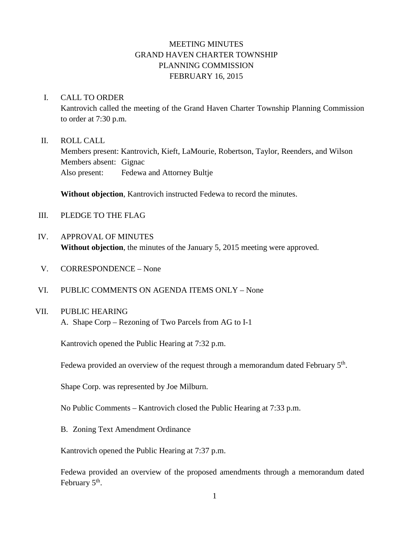# MEETING MINUTES GRAND HAVEN CHARTER TOWNSHIP PLANNING COMMISSION FEBRUARY 16, 2015

#### I. CALL TO ORDER

Kantrovich called the meeting of the Grand Haven Charter Township Planning Commission to order at 7:30 p.m.

#### II. ROLL CALL

Members present: Kantrovich, Kieft, LaMourie, Robertson, Taylor, Reenders, and Wilson Members absent: Gignac Also present: Fedewa and Attorney Bultje

**Without objection**, Kantrovich instructed Fedewa to record the minutes.

- III. PLEDGE TO THE FLAG
- IV. APPROVAL OF MINUTES **Without objection**, the minutes of the January 5, 2015 meeting were approved.
- V. CORRESPONDENCE None
- VI. PUBLIC COMMENTS ON AGENDA ITEMS ONLY None

#### VII. PUBLIC HEARING

A. Shape Corp – Rezoning of Two Parcels from AG to I-1

Kantrovich opened the Public Hearing at 7:32 p.m.

Fedewa provided an overview of the request through a memorandum dated February 5<sup>th</sup>.

Shape Corp. was represented by Joe Milburn.

No Public Comments – Kantrovich closed the Public Hearing at 7:33 p.m.

B. Zoning Text Amendment Ordinance

Kantrovich opened the Public Hearing at 7:37 p.m.

Fedewa provided an overview of the proposed amendments through a memorandum dated February  $5<sup>th</sup>$ .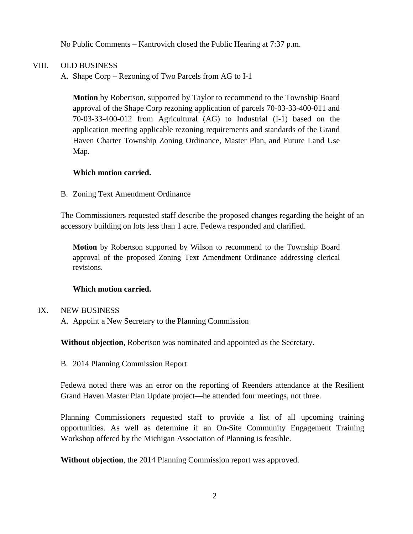No Public Comments – Kantrovich closed the Public Hearing at 7:37 p.m.

## VIII. OLD BUSINESS

A. Shape Corp – Rezoning of Two Parcels from AG to I-1

**Motion** by Robertson, supported by Taylor to recommend to the Township Board approval of the Shape Corp rezoning application of parcels 70-03-33-400-011 and 70-03-33-400-012 from Agricultural (AG) to Industrial (I-1) based on the application meeting applicable rezoning requirements and standards of the Grand Haven Charter Township Zoning Ordinance, Master Plan, and Future Land Use Map.

### **Which motion carried.**

B. Zoning Text Amendment Ordinance

The Commissioners requested staff describe the proposed changes regarding the height of an accessory building on lots less than 1 acre. Fedewa responded and clarified.

**Motion** by Robertson supported by Wilson to recommend to the Township Board approval of the proposed Zoning Text Amendment Ordinance addressing clerical revisions.

### **Which motion carried.**

### IX. NEW BUSINESS

A. Appoint a New Secretary to the Planning Commission

**Without objection**, Robertson was nominated and appointed as the Secretary.

B. 2014 Planning Commission Report

Fedewa noted there was an error on the reporting of Reenders attendance at the Resilient Grand Haven Master Plan Update project—he attended four meetings, not three.

Planning Commissioners requested staff to provide a list of all upcoming training opportunities. As well as determine if an On-Site Community Engagement Training Workshop offered by the Michigan Association of Planning is feasible.

**Without objection**, the 2014 Planning Commission report was approved.